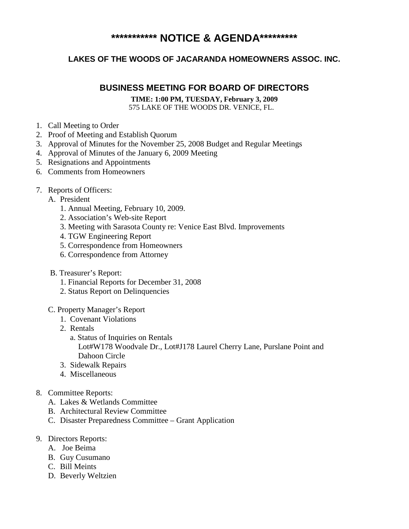# **\*\*\*\*\*\*\*\*\*\*\* NOTICE & AGENDA\*\*\*\*\*\*\*\*\***

## **LAKES OF THE WOODS OF JACARANDA HOMEOWNERS ASSOC. INC.**

## **BUSINESS MEETING FOR BOARD OF DIRECTORS**

**TIME: 1:00 PM, TUESDAY, February 3, 2009** 575 LAKE OF THE WOODS DR. VENICE, FL.

- 1. Call Meeting to Order
- 2. Proof of Meeting and Establish Quorum
- 3. Approval of Minutes for the November 25, 2008 Budget and Regular Meetings
- 4. Approval of Minutes of the January 6, 2009 Meeting
- 5. Resignations and Appointments
- 6. Comments from Homeowners
- 7. Reports of Officers:
	- A. President
		- 1. Annual Meeting, February 10, 2009.
		- 2. Association's Web-site Report
		- 3. Meeting with Sarasota County re: Venice East Blvd. Improvements
		- 4. TGW Engineering Report
		- 5. Correspondence from Homeowners
		- 6. Correspondence from Attorney
	- B. Treasurer's Report:
		- 1. Financial Reports for December 31, 2008
		- 2. Status Report on Delinquencies
	- C. Property Manager's Report
		- 1. Covenant Violations
		- 2. Rentals
			- a. Status of Inquiries on Rentals Lot#W178 Woodvale Dr., Lot#J178 Laurel Cherry Lane, Purslane Point and Dahoon Circle
		- 3. Sidewalk Repairs
		- 4. Miscellaneous
- 8. Committee Reports:
	- A. Lakes & Wetlands Committee
	- B. Architectural Review Committee
	- C. Disaster Preparedness Committee Grant Application
- 9. Directors Reports:
	- A. Joe Beima
	- B. Guy Cusumano
	- C. Bill Meints
	- D. Beverly Weltzien